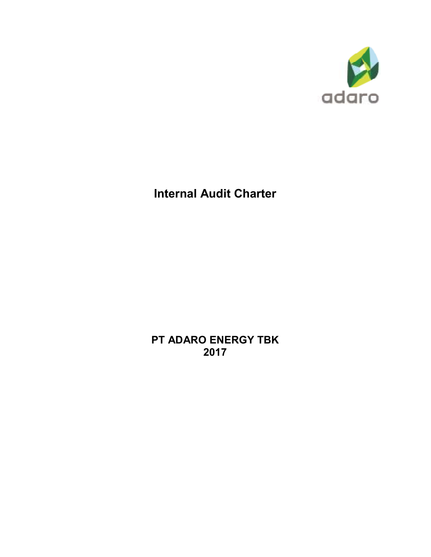

# **Internal Audit Charter**

**PT ADARO ENERGY TBK 2017**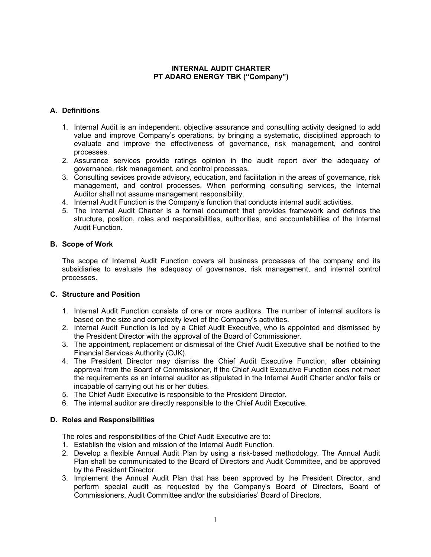# **INTERNAL AUDIT CHARTER PT ADARO ENERGY TBK ("Company")**

# **A. Definitions**

- 1. Internal Audit is an independent, objective assurance and consulting activity designed to add value and improve Company's operations, by bringing a systematic, disciplined approach to evaluate and improve the effectiveness of governance, risk management, and control processes.
- 2. Assurance services provide ratings opinion in the audit report over the adequacy of governance, risk management, and control processes.
- 3. Consulting sevices provide advisory, education, and facilitation in the areas of governance, risk management, and control processes. When performing consulting services, the Internal Auditor shall not assume management responsibility.
- 4. Internal Audit Function is the Company's function that conducts internal audit activities.
- 5. The Internal Audit Charter is a formal document that provides framework and defines the structure, position, roles and responsibilities, authorities, and accountabilities of the Internal Audit Function.

# **B. Scope of Work**

The scope of Internal Audit Function covers all business processes of the company and its subsidiaries to evaluate the adequacy of governance, risk management, and internal control processes.

# **C. Structure and Position**

- 1. Internal Audit Function consists of one or more auditors. The number of internal auditors is based on the size and complexity level of the Company's activities.
- 2. Internal Audit Function is led by a Chief Audit Executive, who is appointed and dismissed by the President Director with the approval of the Board of Commissioner.
- 3. The appointment, replacement or dismissal of the Chief Audit Executive shall be notified to the Financial Services Authority (OJK).
- 4. The President Director may dismiss the Chief Audit Executive Function, after obtaining approval from the Board of Commissioner, if the Chief Audit Executive Function does not meet the requirements as an internal auditor as stipulated in the Internal Audit Charter and/or fails or incapable of carrying out his or her duties.
- 5. The Chief Audit Executive is responsible to the President Director.
- 6. The internal auditor are directly responsible to the Chief Audit Executive.

# **D. Roles and Responsibilities**

The roles and responsibilities of the Chief Audit Executive are to:

- 1. Establish the vision and mission of the Internal Audit Function.
- 2. Develop a flexible Annual Audit Plan by using a risk-based methodology. The Annual Audit Plan shall be communicated to the Board of Directors and Audit Committee, and be approved by the President Director.
- 3. Implement the Annual Audit Plan that has been approved by the President Director, and perform special audit as requested by the Company's Board of Directors, Board of Commissioners, Audit Committee and/or the subsidiaries' Board of Directors.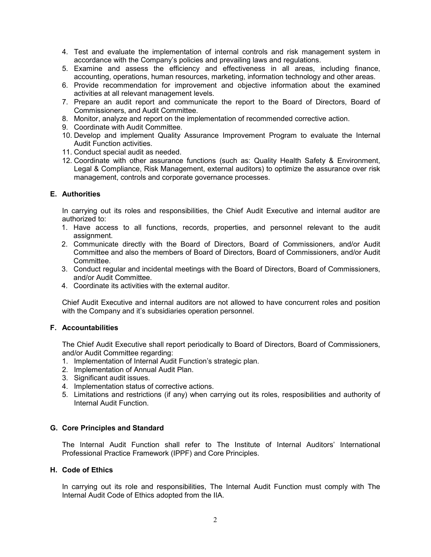- 4. Test and evaluate the implementation of internal controls and risk management system in accordance with the Company's policies and prevailing laws and regulations.
- 5. Examine and assess the efficiency and effectiveness in all areas, including finance, accounting, operations, human resources, marketing, information technology and other areas.
- 6. Provide recommendation for improvement and objective information about the examined activities at all relevant management levels.
- 7. Prepare an audit report and communicate the report to the Board of Directors, Board of Commissioners, and Audit Committee.
- 8. Monitor, analyze and report on the implementation of recommended corrective action.
- 9. Coordinate with Audit Committee.
- 10. Develop and implement Quality Assurance Improvement Program to evaluate the Internal Audit Function activities.
- 11. Conduct special audit as needed.
- 12. Coordinate with other assurance functions (such as: Quality Health Safety & Environment, Legal & Compliance, Risk Management, external auditors) to optimize the assurance over risk management, controls and corporate governance processes.

## **E. Authorities**

In carrying out its roles and responsibilities, the Chief Audit Executive and internal auditor are authorized to:

- 1. Have access to all functions, records, properties, and personnel relevant to the audit assignment.
- 2. Communicate directly with the Board of Directors, Board of Commissioners, and/or Audit Committee and also the members of Board of Directors, Board of Commissioners, and/or Audit Committee.
- 3. Conduct regular and incidental meetings with the Board of Directors, Board of Commissioners, and/or Audit Committee.
- 4. Coordinate its activities with the external auditor.

Chief Audit Executive and internal auditors are not allowed to have concurrent roles and position with the Company and it's subsidiaries operation personnel.

#### **F. Accountabilities**

The Chief Audit Executive shall report periodically to Board of Directors, Board of Commissioners, and/or Audit Committee regarding:

- 1. Implementation of Internal Audit Function's strategic plan.
- 2. Implementation of Annual Audit Plan.
- 3. Significant audit issues.
- 4. Implementation status of corrective actions.
- 5. Limitations and restrictions (if any) when carrying out its roles, resposibilities and authority of Internal Audit Function.

#### **G. Core Principles and Standard**

The Internal Audit Function shall refer to The Institute of Internal Auditors' International Professional Practice Framework (IPPF) and Core Principles.

#### **H. Code of Ethics**

In carrying out its role and responsibilities, The Internal Audit Function must comply with The Internal Audit Code of Ethics adopted from the IIA.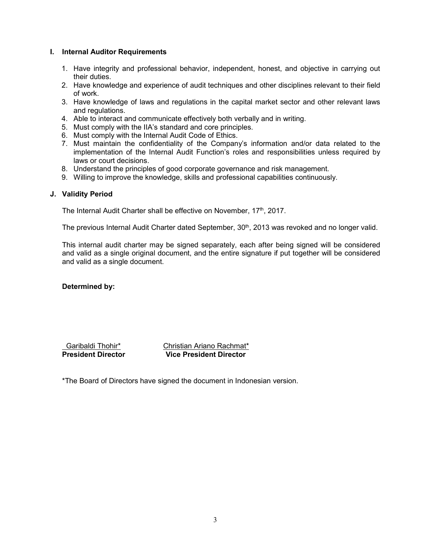## **I. Internal Auditor Requirements**

- 1. Have integrity and professional behavior, independent, honest, and objective in carrying out their duties.
- 2. Have knowledge and experience of audit techniques and other disciplines relevant to their field of work.
- 3. Have knowledge of laws and regulations in the capital market sector and other relevant laws and regulations.
- 4. Able to interact and communicate effectively both verbally and in writing.
- 5. Must comply with the IIA's standard and core principles.
- 6. Must comply with the Internal Audit Code of Ethics.
- 7. Must maintain the confidentiality of the Company's information and/or data related to the implementation of the Internal Audit Function's roles and responsibilities unless required by laws or court decisions.
- 8. Understand the principles of good corporate governance and risk management.
- 9. Willing to improve the knowledge, skills and professional capabilities continuously.

## **J. Validity Period**

The Internal Audit Charter shall be effective on November,  $17<sup>th</sup>$ , 2017.

The previous Internal Audit Charter dated September, 30<sup>th</sup>, 2013 was revoked and no longer valid.

This internal audit charter may be signed separately, each after being signed will be considered and valid as a single original document, and the entire signature if put together will be considered and valid as a single document.

**Determined by:** 

 Garibaldi Thohir\* Christian Ariano Rachmat\* **President Director Vice President Director**

\*The Board of Directors have signed the document in Indonesian version.